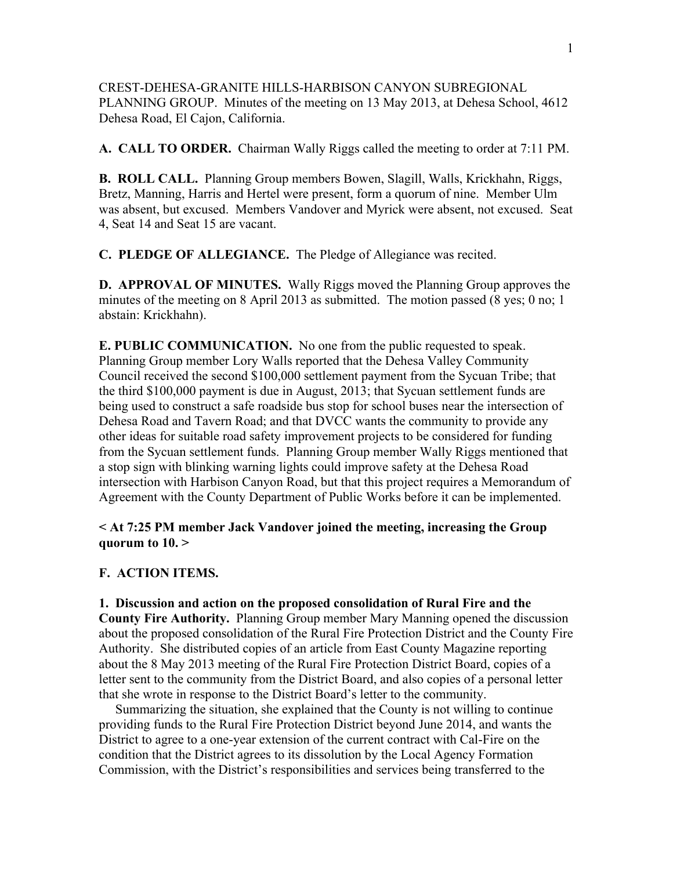CREST-DEHESA-GRANITE HILLS-HARBISON CANYON SUBREGIONAL PLANNING GROUP. Minutes of the meeting on 13 May 2013, at Dehesa School, 4612 Dehesa Road, El Cajon, California.

**A. CALL TO ORDER.** Chairman Wally Riggs called the meeting to order at 7:11 PM.

**B. ROLL CALL.** Planning Group members Bowen, Slagill, Walls, Krickhahn, Riggs, Bretz, Manning, Harris and Hertel were present, form a quorum of nine. Member Ulm was absent, but excused. Members Vandover and Myrick were absent, not excused. Seat 4, Seat 14 and Seat 15 are vacant.

**C. PLEDGE OF ALLEGIANCE.** The Pledge of Allegiance was recited.

**D. APPROVAL OF MINUTES.** Wally Riggs moved the Planning Group approves the minutes of the meeting on 8 April 2013 as submitted. The motion passed (8 yes; 0 no; 1 abstain: Krickhahn).

**E. PUBLIC COMMUNICATION.** No one from the public requested to speak. Planning Group member Lory Walls reported that the Dehesa Valley Community Council received the second \$100,000 settlement payment from the Sycuan Tribe; that the third \$100,000 payment is due in August, 2013; that Sycuan settlement funds are being used to construct a safe roadside bus stop for school buses near the intersection of Dehesa Road and Tavern Road; and that DVCC wants the community to provide any other ideas for suitable road safety improvement projects to be considered for funding from the Sycuan settlement funds. Planning Group member Wally Riggs mentioned that a stop sign with blinking warning lights could improve safety at the Dehesa Road intersection with Harbison Canyon Road, but that this project requires a Memorandum of Agreement with the County Department of Public Works before it can be implemented.

# **< At 7:25 PM member Jack Vandover joined the meeting, increasing the Group quorum to 10. >**

### **F. ACTION ITEMS.**

**1. Discussion and action on the proposed consolidation of Rural Fire and the County Fire Authority.** Planning Group member Mary Manning opened the discussion about the proposed consolidation of the Rural Fire Protection District and the County Fire Authority. She distributed copies of an article from East County Magazine reporting about the 8 May 2013 meeting of the Rural Fire Protection District Board, copies of a letter sent to the community from the District Board, and also copies of a personal letter that she wrote in response to the District Board's letter to the community.

 Summarizing the situation, she explained that the County is not willing to continue providing funds to the Rural Fire Protection District beyond June 2014, and wants the District to agree to a one-year extension of the current contract with Cal-Fire on the condition that the District agrees to its dissolution by the Local Agency Formation Commission, with the District's responsibilities and services being transferred to the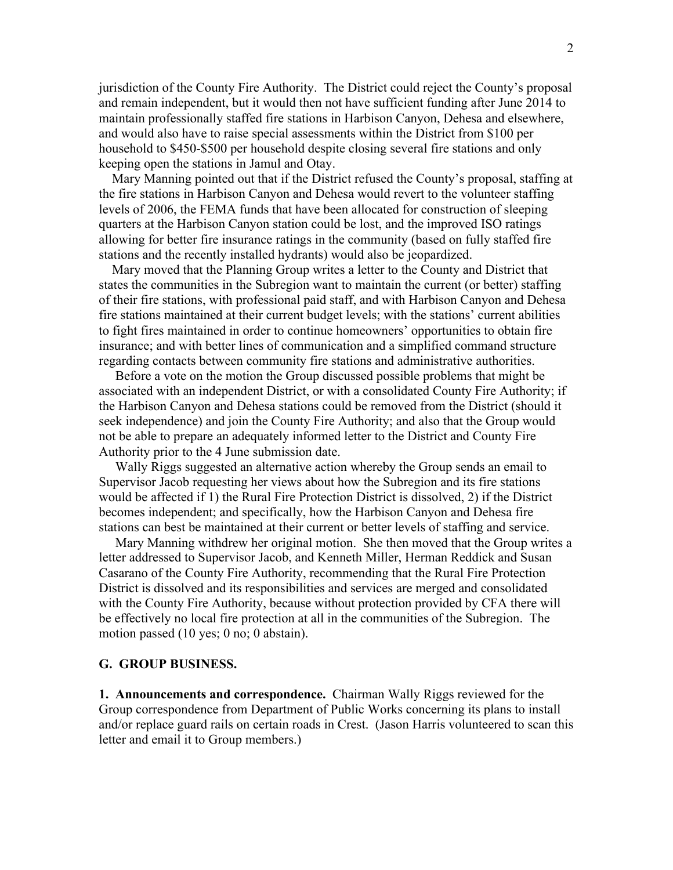jurisdiction of the County Fire Authority. The District could reject the County's proposal and remain independent, but it would then not have sufficient funding after June 2014 to maintain professionally staffed fire stations in Harbison Canyon, Dehesa and elsewhere, and would also have to raise special assessments within the District from \$100 per household to \$450-\$500 per household despite closing several fire stations and only keeping open the stations in Jamul and Otay.

 Mary Manning pointed out that if the District refused the County's proposal, staffing at the fire stations in Harbison Canyon and Dehesa would revert to the volunteer staffing levels of 2006, the FEMA funds that have been allocated for construction of sleeping quarters at the Harbison Canyon station could be lost, and the improved ISO ratings allowing for better fire insurance ratings in the community (based on fully staffed fire stations and the recently installed hydrants) would also be jeopardized.

 Mary moved that the Planning Group writes a letter to the County and District that states the communities in the Subregion want to maintain the current (or better) staffing of their fire stations, with professional paid staff, and with Harbison Canyon and Dehesa fire stations maintained at their current budget levels; with the stations' current abilities to fight fires maintained in order to continue homeowners' opportunities to obtain fire insurance; and with better lines of communication and a simplified command structure regarding contacts between community fire stations and administrative authorities.

 Before a vote on the motion the Group discussed possible problems that might be associated with an independent District, or with a consolidated County Fire Authority; if the Harbison Canyon and Dehesa stations could be removed from the District (should it seek independence) and join the County Fire Authority; and also that the Group would not be able to prepare an adequately informed letter to the District and County Fire Authority prior to the 4 June submission date.

 Wally Riggs suggested an alternative action whereby the Group sends an email to Supervisor Jacob requesting her views about how the Subregion and its fire stations would be affected if 1) the Rural Fire Protection District is dissolved, 2) if the District becomes independent; and specifically, how the Harbison Canyon and Dehesa fire stations can best be maintained at their current or better levels of staffing and service.

 Mary Manning withdrew her original motion. She then moved that the Group writes a letter addressed to Supervisor Jacob, and Kenneth Miller, Herman Reddick and Susan Casarano of the County Fire Authority, recommending that the Rural Fire Protection District is dissolved and its responsibilities and services are merged and consolidated with the County Fire Authority, because without protection provided by CFA there will be effectively no local fire protection at all in the communities of the Subregion. The motion passed (10 yes; 0 no; 0 abstain).

#### **G. GROUP BUSINESS.**

**1. Announcements and correspondence.** Chairman Wally Riggs reviewed for the Group correspondence from Department of Public Works concerning its plans to install and/or replace guard rails on certain roads in Crest. (Jason Harris volunteered to scan this letter and email it to Group members.)